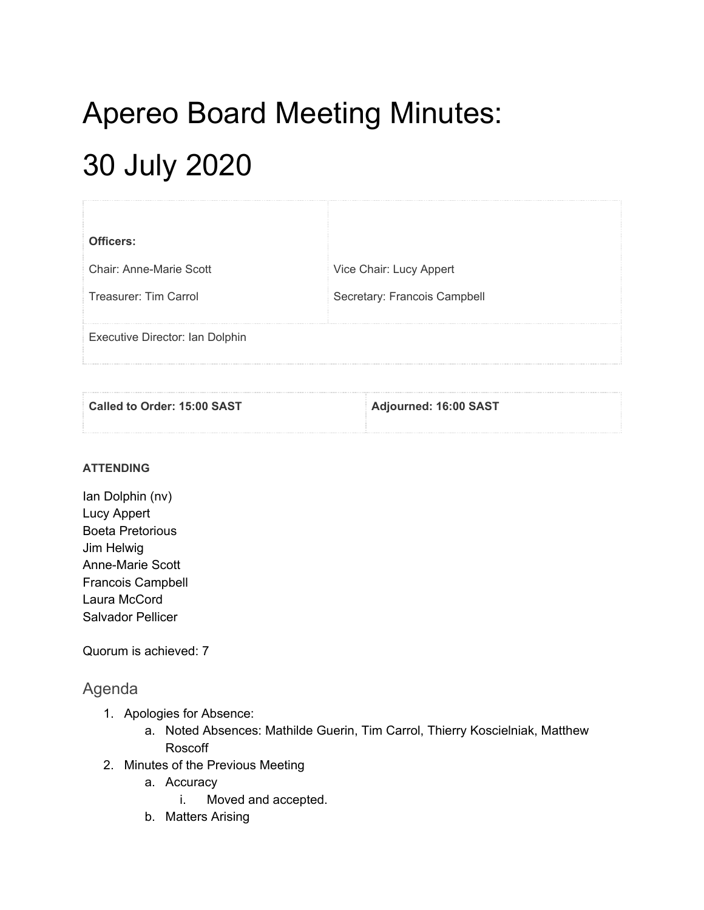## Apereo Board Meeting Minutes: 30 July 2020

| Officers:                       |                              |
|---------------------------------|------------------------------|
| Chair: Anne-Marie Scott         | Vice Chair: Lucy Appert      |
| Treasurer: Tim Carrol           | Secretary: Francois Campbell |
| Executive Director: Ian Dolphin |                              |

| Called to Order: 15:00 SAST | Adjourned: 16:00 SAST |
|-----------------------------|-----------------------|
|                             |                       |

## **ATTENDING**

Ian Dolphin (nv) Lucy Appert Boeta Pretorious Jim Helwig Anne-Marie Scott Francois Campbell Laura McCord Salvador Pellicer

Quorum is achieved: 7

## Agenda

- 1. Apologies for Absence:
	- a. Noted Absences: Mathilde Guerin, Tim Carrol, Thierry Koscielniak, Matthew Roscoff
- 2. Minutes of the Previous Meeting
	- a. Accuracy
		- i. Moved and accepted.
	- b. Matters Arising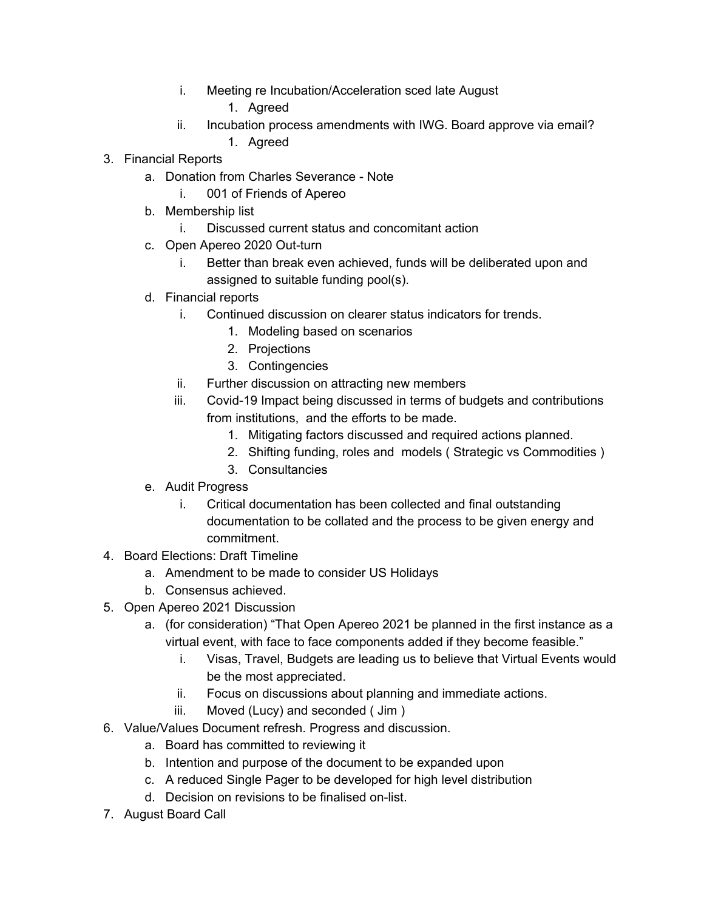- i. Meeting re Incubation/Acceleration sced late August
	- 1. Agreed
- ii. Incubation process amendments with IWG. Board approve via email?
	- 1. Agreed
- 3. Financial Reports
	- a. Donation from Charles Severance Note
		- i. 001 of Friends of Apereo
	- b. Membership list
		- i. Discussed current status and concomitant action
	- c. Open Apereo 2020 Out-turn
		- i. Better than break even achieved, funds will be deliberated upon and assigned to suitable funding pool(s).
	- d. Financial reports
		- i. Continued discussion on clearer status indicators for trends.
			- 1. Modeling based on scenarios
			- 2. Projections
			- 3. Contingencies
		- ii. Further discussion on attracting new members
		- iii. Covid-19 Impact being discussed in terms of budgets and contributions from institutions, and the efforts to be made.
			- 1. Mitigating factors discussed and required actions planned.
			- 2. Shifting funding, roles and models ( Strategic vs Commodities )
			- 3. Consultancies
	- e. Audit Progress
		- i. Critical documentation has been collected and final outstanding documentation to be collated and the process to be given energy and commitment.
- 4. Board Elections: Draft Timeline
	- a. Amendment to be made to consider US Holidays
	- b. Consensus achieved.
- 5. Open Apereo 2021 Discussion
	- a. (for consideration) "That Open Apereo 2021 be planned in the first instance as a virtual event, with face to face components added if they become feasible."
		- i. Visas, Travel, Budgets are leading us to believe that Virtual Events would be the most appreciated.
		- ii. Focus on discussions about planning and immediate actions.
		- iii. Moved (Lucy) and seconded ( Jim )
- 6. Value/Values Document refresh. Progress and discussion.
	- a. Board has committed to reviewing it
	- b. Intention and purpose of the document to be expanded upon
	- c. A reduced Single Pager to be developed for high level distribution
	- d. Decision on revisions to be finalised on-list.
- 7. August Board Call